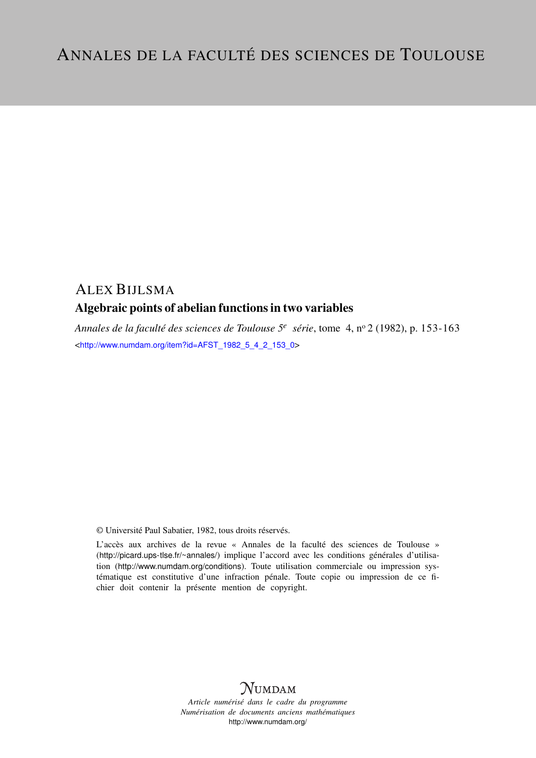## ALEX BIJLSMA

## Algebraic points of abelian functions in two variables

*Annales de la faculté des sciences de Toulouse 5<sup>e</sup> série*, tome 4, n<sup>o</sup> 2 (1982), p. 153-163 <[http://www.numdam.org/item?id=AFST\\_1982\\_5\\_4\\_2\\_153\\_0](http://www.numdam.org/item?id=AFST_1982_5_4_2_153_0)>

© Université Paul Sabatier, 1982, tous droits réservés.

L'accès aux archives de la revue « Annales de la faculté des sciences de Toulouse » (<http://picard.ups-tlse.fr/~annales/>) implique l'accord avec les conditions générales d'utilisation (<http://www.numdam.org/conditions>). Toute utilisation commerciale ou impression systématique est constitutive d'une infraction pénale. Toute copie ou impression de ce fichier doit contenir la présente mention de copyright.



*Article numérisé dans le cadre du programme Numérisation de documents anciens mathématiques* <http://www.numdam.org/>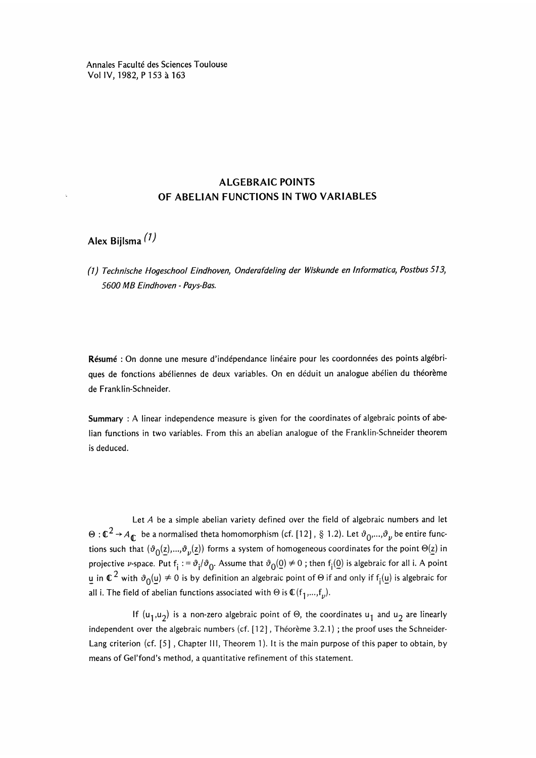Annales Faculté des Sciences Toulouse Vol IV, 1982, P 153 à 163

## ALGEBRAIC POINTS OF ABELIAN FUNCTIONS IN TWO VARIABLES

Alex Bijlsma (1)

(1 J Technische Hogeschool Eindhoven, Onderafdeling der Wiskunde en Informatica, Postbus 513, 5600 MB Eindhoven - Pays-Bas.

Résumé : On donne une mesure d'indépendance linéaire pour les coordonnées des points algébriques de fonctions abéliennes de deux variables. On en deduit un analogue abélien du théorème de Franklin-Schneider.

Summary : A linear independence measure is given for the coordinates of algebraic points of abelian functions in two variables. From this an abelian analogue of the Franklin-Schneider theorem is deduced.

Let A be a simple abelian variety defined over the field of algebraic numbers and let  $\Theta: \mathbb{C}^2 \to A_{\mathbb{C}}$  be a normalised theta homomorphism (cf. [12], § 1.2). Let  $\vartheta_0, \ldots, \vartheta_\nu$  be entire functions such that  $(\vartheta_0(z),...,\vartheta_p(z))$  forms a system of homogeneous coordinates for the point  $\Theta(z)$  in projective v-space. Put  $f_i := \vartheta_i/\vartheta_0$ . Assume that  $\vartheta_0(0) \neq 0$ ; then  $f_i(0)$  is algebraic for all i. A point u in  $\mathbb{C}^2$  with  $\vartheta_0(u) \neq 0$  is by definition an algebraic point of  $\Theta$  if and only if  $f_i(u)$  is algebraic for all i. The field of abelian functions associated with  $\Theta$  is  $\mathbb{C}(f_1,...,f_\nu)$ .

If  $(u_1, u_2)$  is a non-zero algebraic point of  $\Theta$ , the coordinates  $u_1$  and  $u_2$  are linearly independent over the algebraic numbers (cf. [12], Théorème 3.2.1) ; the proof uses the Schneider-Lang criterion (cf. [5], Chapter III, Theorem 1). It is the main purpose of this paper to obtain, by means of Gel'fond's method, a quantitative refinement of this statement.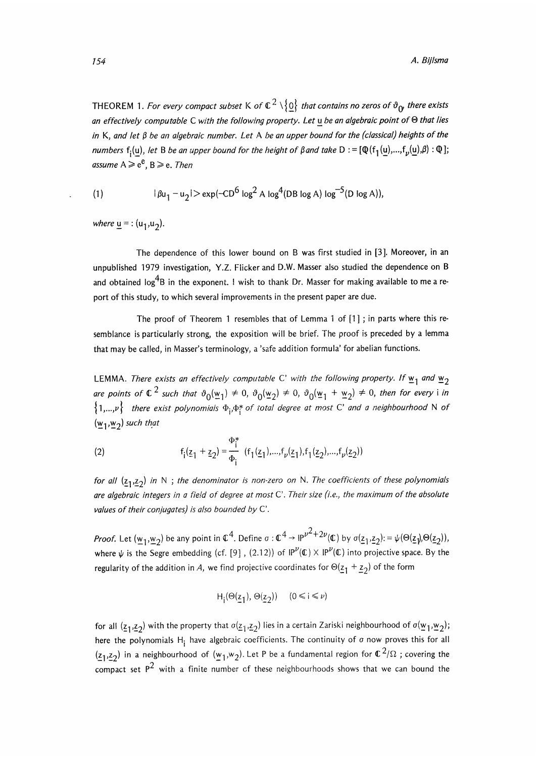THEOREM 1. For every compact subset K of  $\mathbb{C}^2 \setminus \{0\}$  that contains no zeros of  $\mathfrak{d}_{\alpha}$  there exists an effectively computable C with the following property. Let u be an algebraic point of  $\Theta$  that lies in K, and let  $\beta$  be an algebraic number. Let A be an upper bound for the (classical) heights of the numbers f<sub>i</sub>(u), let B be an upper bound for the height of  $\beta$  and take D : =  $[\mathbb{Q}(f_1(u),...,f_n(u),\beta):\mathbb{Q}]$ ; assume  $A \ge e^e$ ,  $B \ge e$ . Then

(1) 
$$
|\beta u_1 - u_2| > \exp(-CD^6 \log^2 A \log^4 (DB \log A) \log^{-5} (D \log A)),
$$

where  $u =$ :  $(u_1, u_2)$ .

The dependence of this lower bound on B was first studied in [3]. Moreover, in an unpublished 1979 investigation, Y.Z. Flicker and D.W. Masser also studied the dependence on B and obtained  $\log^4 B$  in the exponent. I wish to thank Dr. Masser for making available to me a report of this study, to which several improvements in the present paper are due.

The proof of Theorem 1 resembles that of Lemma 1 of  $[1]$ ; in parts where this resemblance is particularly strong, the exposition will be brief. The proof is preceded by a lemma that may be called, in Masser's terminology, a 'safe addition formula' for abelian functions.

LEMMA. There exists an effectively computable C' with the following property. If  $\underline{w}_1$  and  $\underline{w}_2$ are points of  $\mathbb{C}^2$  such that  $\vartheta_0(\underline{w}_1) \neq 0$ ,  $\vartheta_0(\underline{w}_2) \neq 0$ ,  $\vartheta_0(\underline{w}_1 + \underline{w}_2) \neq 0$ , then for every i in  $\{1,...,v\}$  there exist polynomials  $\Phi_i,\Phi_i^*$  of total degree at most C' and a neighbourhood N of  $(w_1,w_2)$  such that

(2) 
$$
f_1(\underline{z}_1 + \underline{z}_2) = \frac{\Phi_1^*}{\Phi_1} (f_1(\underline{z}_1),...,f_{\nu}(\underline{z}_1),f_1(\underline{z}_2),...,f_{\nu}(\underline{z}_2))
$$

for all  $(\underline{z}_1, \underline{z}_2)$  in N; the denominator is non-zero on N. The coefficients of these polynomials are algebraic integers in a field of degree at most C'. Their size (i.e., the maximum of the absolute values of their conjugates) is also bounded by  $C'$ .

*Proof.* Let  $(w_1, w_2)$  be any point in  $\mathbb{C}^4$ . Define  $\sigma : \mathbb{C}^4 \to \mathbb{P}^{1/2+2\nu}(\mathbb{C})$  by  $\sigma(\underline{z_1}, \underline{z_2}) := \psi(\Theta(\underline{z_1}), \Theta(\underline{z_2})),$ where  $\psi$  is the Segre embedding (cf. [9], (2.12)) of  $IP^{\nu}(\mathbb{C}) \times IP^{\nu}(\mathbb{C})$  into projective space. By the regularity of the addition in A, we find projective coordinates for  $\Theta(\underline{z}_1 + \underline{z}_2)$  of the form

$$
H_i(\Theta(\underline{z}_1), \Theta(\underline{z}_2))
$$
  $(0 \le i \le \nu)$ 

for all  $(z_1,z_2)$  with the property that  $\sigma(z_1,z_2)$  lies in a certain Zariski neighbourhood of  $\sigma(\underline{w}_1,\underline{w}_2)$ ; here the polynomials H<sub>i</sub> have algebraic coefficients. The continuity of  $\sigma$  now proves this for all  $(\underline{z}_1, \underline{z}_2)$  in a neighbourhood of  $(\underline{w}_1, w_2)$ . Let P be a fundamental region for  $\mathbb{C}^2/\Omega$  ; covering the compact set  $P^2$  with a finite number of these neighbourhoods shows that we can bound the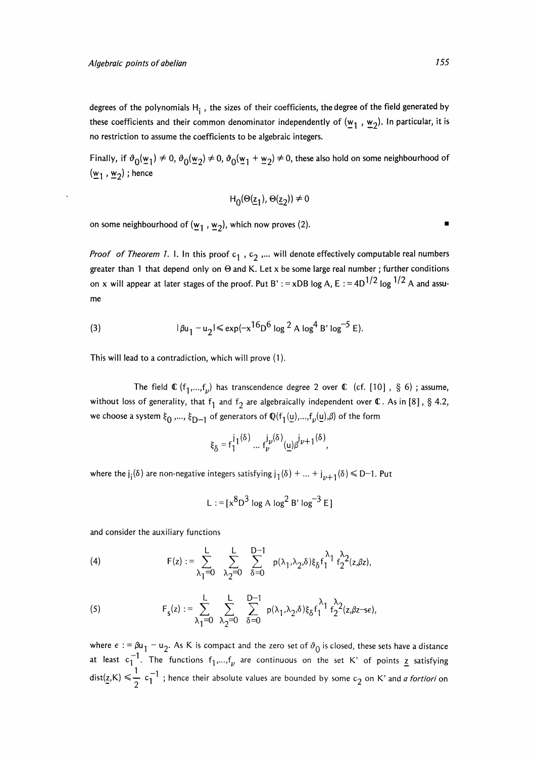degrees of the polynomials  $H_i$ , the sizes of their coefficients, the degree of the field generated by these coefficients and their common denominator independently of  $(w_1, w_2)$ . In particular, it is no restriction to assume the coefficients to be algebraic integers.

Finally, if  $\vartheta_0(\omega_1) \neq 0$ ,  $\vartheta_0(\omega_2) \neq 0$ ,  $\vartheta_0(\omega_1 + \omega_2) \neq 0$ , these also hold on some neighbourhood of  $(\underline{w}_1, \underline{w}_2)$ ; hence

$$
H_0(\Theta(\underline{z}_1), \Theta(\underline{z}_2)) \neq 0
$$

on some neighbourhood of  $(\underline{w}_1, \underline{w}_2)$ , which now proves (2).

*Proof of Theorem 1. I. In this proof*  $c_1$ ,  $c_2$ ,... will denote effectively computable real numbers greater than 1 that depend only on  $\Theta$  and K. Let x be some large real number; further conditions on x will appear at later stages of the proof. Put B' : = xDB log A, E : =  $4D^{1/2}$  log  $^{1/2}$  A and assume

(3) 
$$
|\beta u_1 - u_2| \le \exp(-x^{16}D^6 \log^2 A \log^4 B' \log^{-5} E).
$$

This will lead to a contradiction, which will prove (1).

The field  $\mathbb{C}$  (f<sub>1</sub>,...,f<sub>n</sub>) has transcendence degree 2 over  $\mathbb{C}$  (cf. [10], § 6); assume, without loss of generality, that  $f_1$  and  $f_2$  are algebraically independent over  $\mathbb C$ . As in [8], § 4.2, we choose a system  $\xi_0$ ,...,  $\xi_{D-1}$  of generators of  $\mathbb{Q}(f_1(\underline{u}),...,f_{\nu}(\underline{u}),\beta)$  of the form

$$
\xi_{\delta} = f_1^{j_1(\delta)} \dots f_{\nu}^{j_{\nu}(\delta)}(\underline{u}) \beta^{j_{\nu+1}(\delta)},
$$

where the  $j_i(\delta)$  are non-negative integers satisfying  $j_1(\delta) + ... + j_{\nu+1}(\delta) \leq D-1$ . Put

L := 
$$
[x^8D^3 \log A \log^2 B' \log^{-3} E]
$$

and consider the auxiliary functions

(4) 
$$
F(z) := \sum_{\lambda_1=0}^{L} \sum_{\lambda_2=0}^{L} \sum_{\delta=0}^{D-1} p(\lambda_1, \lambda_2, \delta) \xi_{\delta} f_1^{\lambda_1} f_2^{\lambda_2}(z, \beta z),
$$

$$
(5) \hspace{1cm} F_s(z) := \sum_{\lambda_1=0}^L \hspace{1mm} \sum_{\lambda_2=0}^L \hspace{1mm} \sum_{\delta=0}^{D-1} \hspace{1mm} p(\lambda_1,\lambda_2,\delta) \xi_\delta f_1^{\lambda_1} f_2^{\lambda_2}(z,\beta z - s \epsilon),
$$

where  $\epsilon := \beta u_1 - u_2$ . As K is compact and the zero set of  $\vartheta_0$  is closed, these sets have a distance at least  $c_1^{-1}$ . The functions  $f_1,...,f_\nu$  are continuous on the set K' of points  $\leq$  satisfying  $dist(z,K) \leq \frac{1}{2} c_1^{-1}$ ; hence their absolute values are bounded by some  $c_2$  on K' and *a fortiori* on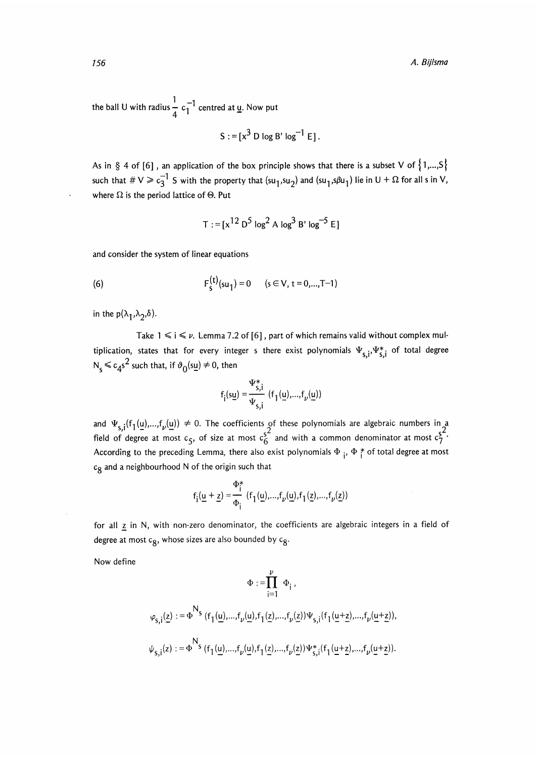the ball U with radius  $\frac{1}{4}$  c<sub>1</sub><sup>-1</sup> centred at <u>u</u>. Now put

$$
S := [x^3 \text{ D} \log B' \log^{-1} E].
$$

As in § 4 of [6], an application of the box principle shows that there is a subset V of  $\{1,...,S\}$ such that  $\# V \geq c_3^{-1}$  S with the property that  $(su_1,su_2)$  and  $(su_1,s\beta u_1)$  lie in  $U + \Omega$  for all s in V, where  $\Omega$  is the period lattice of  $\Theta$ . Put

$$
T := [x^{12} D^5 \log^2 A \log^3 B' \log^{-5} E]
$$

and consider the system of linear equations

(6) 
$$
F_{s}^{(t)}(su_{1}) = 0 \t (s \in V, t = 0,...,T-1)
$$

in the  $p(\lambda_1, \lambda_2, \delta)$ .

Take  $1 \le i \le \nu$ . Lemma 7.2 of [6], part of which remains valid without complex multiplication, states that for every integer s there exist polynomials  $\Psi_{\mathsf{S},\mathsf{i}},\Psi_{\mathsf{S},\mathsf{i}}^*$  of total degree  $N_s \leq c_4 s^2$  such that, if  $\vartheta_0(s_1) \neq 0$ , then

$$
f_{i}(s\underline{u}) = \frac{\Psi_{s,i}^{*}}{\Psi_{s,i}} \ (f_{1}(\underline{u}),...,f_{\nu}(\underline{u}))
$$

and  $\Psi_{s,i}(f_1(\underline{u}),...,f_{\nu}(\underline{u})) \neq 0$ . The coefficients of these polynomials are algebraic numbers in a  $s^2$  field of degree at most  $c_5$ , of size at most  $c_6^2$  and with a common denominator at most  $c_7^2$ According to the preceding Lemma, there also exist polynomials  $\Phi_i$ ,  $\Phi_i^*$  of total degree at most  $c<sub>R</sub>$  and a neighbourhood N of the origin such that

$$
f_i(\underline{u} + \underline{z}) = \frac{\Phi_i^*}{\Phi_i} (f_1(\underline{u}),...,f_{\nu}(\underline{u}),f_1(\underline{z}),...,f_{\nu}(\underline{z}))
$$

for all  $z$  in N, with non-zero denominator, the coefficients are algebraic integers in a field of degree at most  $c_8$ , whose sizes are also bounded by  $c_8$ .

Now define

$$
\Phi := \prod_{i=1}^{p} \Phi_{i},
$$
  

$$
\varphi_{s,i}(\underline{z}) := \Phi^{N_{s}}(f_{1}(\underline{u}),...,f_{\nu}(\underline{u}),f_{1}(\underline{z}),...,f_{\nu}(\underline{z}))\Psi_{s,i}(f_{1}(\underline{u}+\underline{z}),...,f_{\nu}(\underline{u}+\underline{z})),
$$
  

$$
\psi_{s,i}(z) := \Phi^{N_{s}}(f_{1}(\underline{u}),...,f_{\nu}(\underline{u}),f_{1}(\underline{z}),...,f_{\nu}(\underline{z}))\Psi_{s,i}^{*}(f_{1}(\underline{u}+\underline{z}),...,f_{\nu}(\underline{u}+\underline{z})).
$$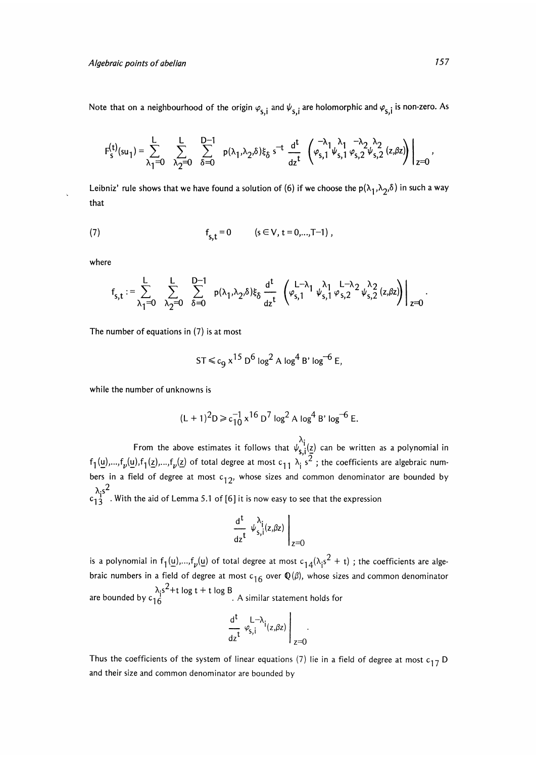Algebraic points of abelian

Note that on a neighbourhood of the origin  $\varphi^{}_{\mathsf{S},\mathsf{i}}$  and  $\psi^{}_{\mathsf{S},\mathsf{i}}$  are holomorphic and  $\varphi^{}_{\mathsf{S},\mathsf{i}}$  is non-zero. As

$$
F_s^{(t)}(\mathrm{s}\mathrm{u}_1)=\sum_{\lambda_1=0}^L\quad\sum_{\lambda_2=0}^L\quad\sum_{\delta=0}^{D-1}\quad p(\lambda_1,\lambda_2,\delta)\xi_\delta\,\,\mathrm{s}^{-t}\,\,\frac{\mathrm{d}^t}{\mathrm{d} z^t}\,\,\left(\begin{matrix} -\lambda_1\,\lambda_1\,\,-\lambda_2\,\lambda_2\\\phi_{s,1}\,\psi_{s,1}\,\phi_{s,2}\,\psi_{s,2}\,\left(z,\beta z\right) \end{matrix}\right)\bigg|_{z=0}\,,
$$

Leibniz' rule shows that we have found a solution of (6) if we choose the  $p(\lambda_1, \lambda_2, \delta)$  in such a way that

(7) 
$$
f_{s,t} = 0
$$
  $(s \in V, t = 0,...,T-1)$ ,

where

$$
f_{s,t}:=\sum_{\lambda_1=0}^L\sum_{\lambda_2=0}^L\sum_{\delta=0}^{D-1}\left.\begin{matrix}p(\lambda_1,\lambda_2,\delta)\xi_\delta\frac{d^t}{dz^t} \left(\phi_{s,1}^{L-\lambda_1}\psi_{s,1}^{\lambda_1}\phi_{s,2}^{L-\lambda_2}\psi_{s,2}^{\lambda_2}(z,\beta z)\right)\end{matrix}\right|_{z=0}.
$$

The number of equations in (7) is at most

$$
ST \leq c_9 x^{15} D^6 \log^2 A \log^4 B' \log^{-6} E,
$$

while the number of unknowns is

$$
(L+1)^2 D \ge c_{10}^{-1} x^{16} D^7 \log^2 A \log^4 B' \log^{-6} E.
$$

From the above estimates it follows that  $\psi_{s,i}^{[1]}(z)$  can be written as a polynomial in  $f_1(\underline{u}),...,f_\nu(\underline{u}),f_1(\underline{z}),...,f_\nu(\underline{z})$  of total degree at most  $c_{11}$   $\lambda_i$  s<sup>2</sup>; the coefficients are algebraic numbers in a field of degree at most  $c_{12}$ , whose sizes and common denominator are bounded by  $\frac{\lambda_i s^2}{c_{13}}$ . With the aid of Lemma 5.1 of [6] it is now easy to see that the expression

$$
\left.\frac{\mathrm{d}^{t}}{\mathrm{d}z^{t}}\,\,\psi_{s,i}^{\lambda_{i}}(z,\beta z)\,\,\right|_{z=0}
$$

is a polynomial in  $f_1(\underline{u}),...,f_\nu(\underline{u})$  of total degree at most  $c_{1,4}(\lambda_i s^2 + t)$ ; the coefficients are algebraic numbers in a field of degree at most  $c_{16}$  over  $\mathbb{Q}(\beta)$ , whose sizes and common denominator  $\lambda_i s^2$ +t log t + t log B<br>A similar statement holds for

$$
\left.\frac{\textnormal{d}^t}{\textnormal{d} z^t}\begin{array}{c} L-\lambda_i \\ \varphi_{S,i} \end{array}\right|_{z=0}.
$$

Thus the coefficients of the system of linear equations (7) lie in a field of degree at most  $c_{17}$  D and their size and common denominator are bounded by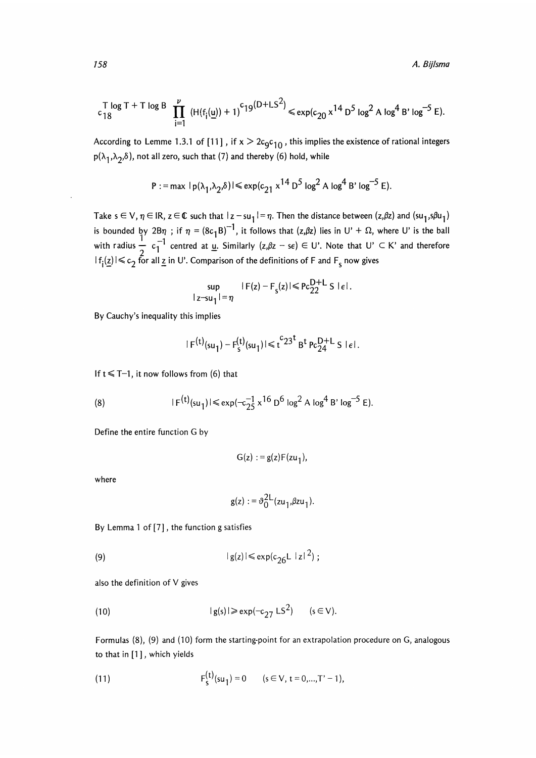A. Bijlsma

$$
\int_{c}^{T} \log T + T \log B \prod_{i=1}^{\nu} (H(f_i(\underline{u})) + 1)^{c} 19^{(D + LS^2)} \le \exp(c_{20} x^{14} D^5 \log^2 A \log^4 B' \log^{-5} E).
$$

According to Lemme 1.3.1 of [11], if  $x > 2c_0c_{10}$ , this implies the existence of rational integers  $p(\lambda_1,\lambda_2,\delta)$ , not all zero, such that (7) and thereby (6) hold, while

$$
P := \max |p(\lambda_1, \lambda_2, \delta)| \leqslant \exp(c_{21} x^{14} D^5 \log^2 A \log^4 B' \log^{-5} E).
$$

Take  $s \in V$ ,  $\eta \in IR$ ,  $z \in \mathbb{C}$  such that  $|z - su_1| = \eta$ . Then the distance between  $(z, \beta z)$  and  $(su_1, s\beta u_1)$ is bounded by  $2B\eta$ ; if  $\eta = (8c_1B)^{-1}$ , it follows that  $(z,\beta z)$  lies in U' +  $\Omega$ , where U' is the bal with radius  $\frac{1}{2}$  c<sub>1</sub><sup>-1</sup> centred at <u>u</u>. Similarly  $(z,\beta z - s\epsilon) \in U'$ . Note that  $U' \subset K'$  and therefore  $|f_i(z)| \leq c_2$  for all z in U'. Comparison of the definitions of F and F<sub>s</sub> now gives

$$
\sup_{|z-su_1|=\eta} |F(z)-F_s(z)| \leqslant Pc_{22}^{D+L} S \left| \epsilon \right|.
$$

By Cauchy's inequality this implies

$$
| F^{(t)}(su_1) - F_s^{(t)}(su_1)| \leq t^{c_2 3^t} B^t P_c 24^{t} L S \leq t.
$$

If  $t \leq T-1$ , it now follows from (6) that

(8) 
$$
|F^{(t)}(su_1)| \leq exp(-c_{25}^{-1} x^{16} D^6 \log^2 A \log^4 B' \log^{-5} E).
$$

Define the entire function G by

$$
G(z) := g(z)F(zu_1),
$$

where

$$
g(z) := \vartheta_0^{2L}(zu_1,\beta zu_1).
$$

By Lemma 1 of [7], the function g satisfies

$$
|g(z)| \leq \exp(c_{26}L |z|^2);
$$

also the definition of V gives

(10) 
$$
|g(s)| \geqslant exp(-c_{27} \text{ LS}^2) \qquad (s \in V).
$$

Formulas (8), (9) and (10) form the starting-point for an extrapolation procedure on G, analogous to that in [1], which yields

(11) 
$$
F_{s}^{(t)}(su_{1})=0 \qquad (s \in V, t = 0,...,T'-1),
$$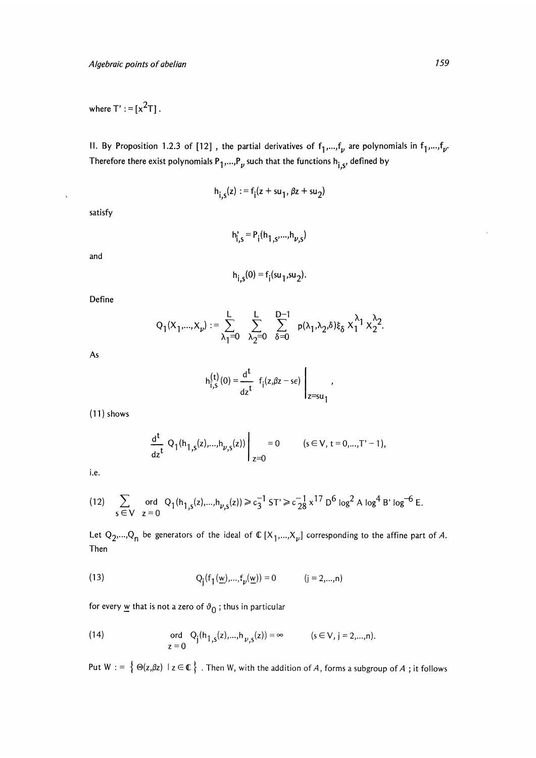where  $T' := [x^2T]$ .

II. By Proposition 1.2.3 of [12], the partial derivatives of  $f_1,...,f_\nu$  are polynomials in  $f_1,...,f_\nu$ . Therefore there exist polynomials  $P_1,...,P_\nu$  such that the functions  $h_{i,s}$ , defined by

$$
h_{i,s}(z) := f_i(z + su_1, \beta z + su_2)
$$

satisfy

 $\mathcal{A}_1$ 

$$
h'_{i,s} = P_i(h_{1,s},...,h_{\nu,s})
$$

and

$$
h_{i,s}(0) = f_i(su_1,su_2).
$$

Define

$$
Q_1(X_1,...,X_\nu):=\sum_{\lambda_1=0}^L\sum_{\lambda_2=0}^L\sum_{\delta=0}^{D-1}\ {\mathsf p}(\lambda_1,\lambda_2,\delta)\xi_\delta\; X_1^{\lambda_1}X_2^{\lambda_2}.
$$

As

$$
h_{i,s}^{(t)}(0) = \frac{d^t}{dz^t} f_i(z,\beta z - s\epsilon) \bigg|_{z=su_1},
$$

 $(11)$  shows

$$
\left. \frac{d^{t}}{dz^{t}} Q_{1}(h_{1,s}(z),...,h_{\nu,s}(z)) \right|_{z=0} = 0 \quad (s \in V, t = 0,...,T'-1),
$$

i.e.

(12) 
$$
\sum_{s \in V} \text{ ord } Q_1(h_{1,s}(z),...,h_{\nu,s}(z)) \ge c_3^{-1} S T' \ge c_{28}^{-1} \times 17 D^6 \log^2 A \log^4 B' \log^{-6} E.
$$

Let  $Q_2,...,Q_n$  be generators of the ideal of  $\mathbb{C}[X_1,...,X_{\nu}]$  corresponding to the affine part of A. Then

(13) 
$$
Q_j(f_1(\underline{w}),...,f_p(\underline{w})) = 0
$$
  $(j = 2,...,n)$ 

for every  $\underline{w}$  that is not a zero of  $\vartheta_0$ ; thus in particular

(14) 
$$
\text{ord } Q_j(h_{1,s}(z),...,h_{\nu,s}(z)) = \infty \qquad (s \in V, j = 2,...,n).
$$

Put  $W := \{ \Theta(z,\beta z) \mid z \in \mathbb{C} \}$ . Then W, with the addition of A, forms a subgroup of A ; it follows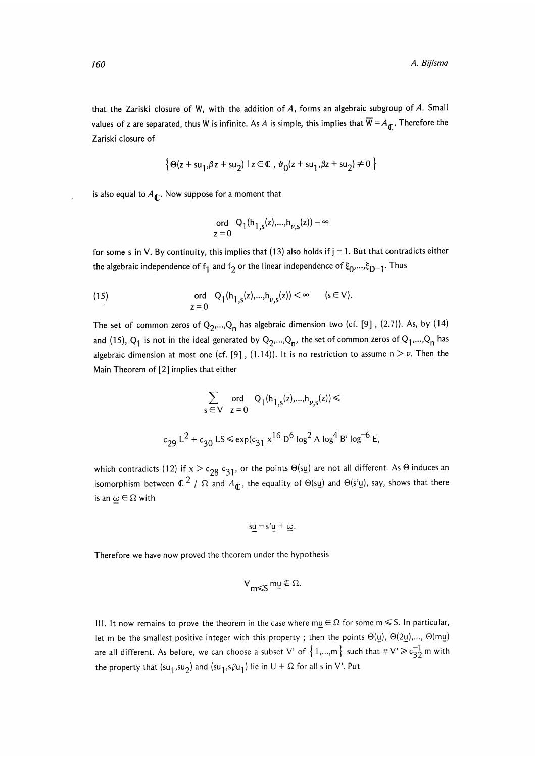that the Zariski closure of W, with the addition of  $A$ , forms an algebraic subgroup of  $A$ . Small values of z are separated, thus W is infinite. As A is simple, this implies that  $\overline{W} = A_{\overline{\mathbf{d}}}$ . Therefore the Zariski closure of

$$
\{ \Theta(z + s u_1, \beta z + s u_2) \mid z \in \mathbb{C}, \vartheta_0(z + s u_1, \beta z + s u_2) \neq 0 \}
$$

is also equal to  $A_{\bf r}$ . Now suppose for a moment that

$$
\text{ord } Q_1(h_{1,s}(z),...,h_{\nu,s}(z)) = \infty
$$
  
  $z = 0$ 

for some s in V. By continuity, this implies that  $(13)$  also holds if  $j = 1$ . But that contradicts either the algebraic independence of  $f_1$  and  $f_2$  or the linear independence of  $\xi_0,...,\xi_{D-1}$ . Thus

(15) 
$$
\text{ord } Q_1(h_{1,s}(z),...,h_{\nu,s}(z)) < \infty \quad (s \in V).
$$

$$
z = 0
$$

The set of common zeros of  $Q_2,...,Q_n$  has algebraic dimension two (cf. [9], (2.7)). As, by (14) and (15), Q<sub>1</sub> is not in the ideal generated by Q<sub>2</sub>,...,Q<sub>n</sub>, the set of common zeros of Q<sub>1</sub>,...,Q<sub>n</sub> has algebraic dimension at most one (cf. [9], (1.14)). It is no restriction to assume  $n > \nu$ . Then the Main Theorem of [2] implies that either

$$
\sum_{s \in V} \text{ ord } Q_1(h_{1,s}(z),...,h_{\nu,s}(z)) \le
$$
  

$$
c_{29} L^2 + c_{30} LS \le \exp(c_{31} x^{16} D^6 \log^2 A \log^4 B' \log^{-6} E,
$$

which contradicts (12) if  $x > c_{28} c_{31}$ , or the points  $\Theta(su)$  are not all different. As  $\Theta$  induces an isomorphism between  $\mathbb{C}^2$  /  $\Omega$  and  $A_{\mathbb{C}}$ , the equality of  $\Theta(\text{su})$  and  $\Theta(\text{s'u})$ , say, shows that there is an  $\omega \in \Omega$  with

$$
s\underline{u} = s'\underline{u} + \underline{\omega}.
$$

Therefore we have now proved the theorem under the hypothesis

$$
\forall_{m\leqslant S}\,m\underline{u}\notin\Omega.
$$

III. It now remains to prove the theorem in the case where  $m\underline{u} \in \Omega$  for some  $m \leq S$ . In particular, let m be the smallest positive integer with this property; then the points  $\Theta(\underline{u})$ ,  $\Theta(2\underline{u})$ ,...,  $\Theta(m\underline{u})$ are all different. As before, we can choose a subset V' of  $\{1,...,m\}$  such that  $\#V \ge c_{32}^{-1}$  m with the property that  $(su_1,su_2)$  and  $(su_1,s_1u_1)$  lie in  $U + \Omega$  for all s in V'. Put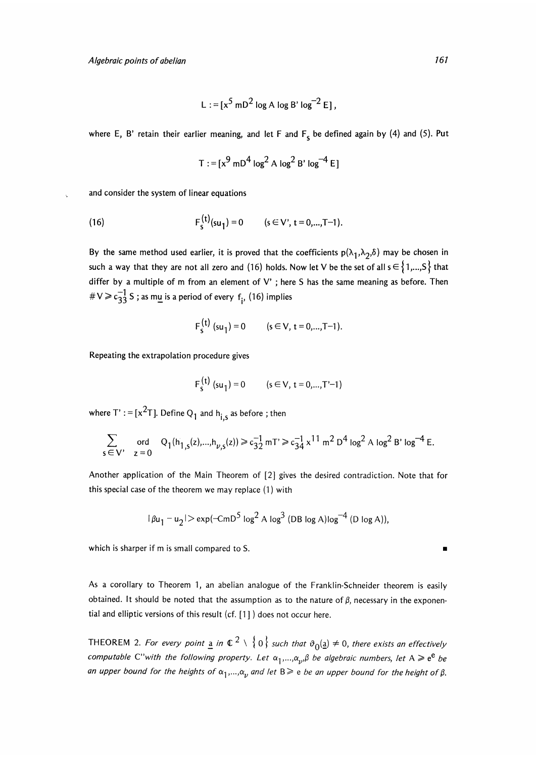$$
L := [x5 mD2 log A log B' log-2 E],
$$

where E, B' retain their earlier meaning, and let F and  $F_s$  be defined again by (4) and (5). Put

$$
T := [x^9 \text{ mD}^4 \log^2 A \log^2 B' \log^{-4} E]
$$

and consider the system of linear equations

(16) 
$$
F_s^{(t)}(su_1) = 0 \qquad (s \in V', t = 0,...,T-1).
$$

By the same method used earlier, it is proved that the coefficients  $p(\lambda_1,\lambda_2,\delta)$  may be chosen in such a way that they are not all zero and (16) holds. Now let V be the set of all  $s \in \{1,...,S\}$  that differ by a multiple of m from an element of V' ; here S has the same meaning as before. Then #  $V \ge c_{33}^{-1}$  S ; as mu is a period of every  $f_i$ , (16) implies

$$
F_s^{(t)}
$$
 (su<sub>1</sub>) = 0 (s  $\in$  V, t = 0,...,T-1).

Repeating the extrapolation procedure gives

$$
F_s^{(t)}(su_1) = 0
$$
  $(s \in V, t = 0,...,T'-1)$ 

where  $T' := [x^2T]$ . Define  $Q_1$  and  $h_{i,s}$  as before; then

$$
\sum_{s \,\in\, V'} \quad \text{ord} \quad \mathsf{Q}_1(\mathsf{h}_{1,s}(z),...,\mathsf{h}_{\nu,s}(z)) \geq c_{32}^{-1} \, \mathsf{m} \, \mathsf{T} \geq c_{34}^{-1} \, x^{11} \, \mathsf{m}^2 \, \mathsf{D}^4 \log^2 \mathsf{A} \, \log^2 \mathsf{B}' \log^{-4} \mathsf{E}.
$$

Another application of the Main Theorem of [2] gives the desired contradiction. Note that for this special case of the theorem we may replace (1) with Another application of the Main Theorem of [2] gives the desired contradiction. Note that for<br>this special case of the theorem we may replace (1) with<br> $|\beta u_1 - u_2| > \exp(-CmD^5 \log^2 A \log^3 (DB \log A) \log^{-4} (D \log A)),$ <br>which is sharper if m

$$
|\beta u_1 - u_2|
$$
 > exp $(-CmD^5 \log^2 A \log^3 (DB \log A) \log^{-4} (D \log A)),$ 

As a corollary to Theorem 1, an abelian analogue of the Franklin-Schneider theorem is easily obtained. It should be noted that the assumption as to the nature of  $\beta$ , necessary in the exponential and elliptic versions of this result (cf. [1 ] ) does not occur here.

THEOREM 2. For every point  $\underline{a}$  in  $\mathbb{C}^2 \setminus \{0\}$  such that  $\vartheta_0(\underline{a}) \neq 0$ , there exists an effectively computable C''with the following property. Let  $\alpha_1,...,\alpha_p$ ,  $\beta$  be algebraic numbers, let A  $\geq e^e$  be an upper bound for the heights of  $\alpha_1,...,\alpha_p$  and let B $\geqslant$  e be an upper bound for the height of  $\beta$ .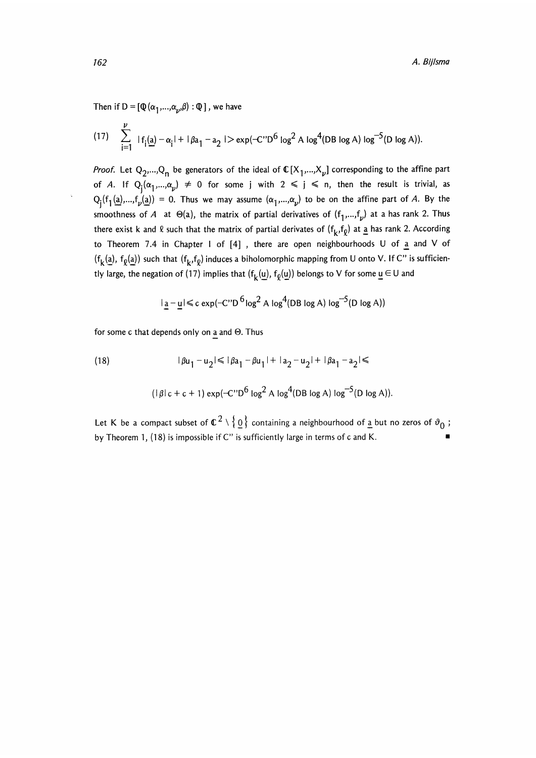Then if D =  $[\mathbb{Q}(\alpha_1,...,\alpha_n,\beta) : \mathbb{Q}]$ , we have

(17) 
$$
\sum_{i=1}^{p} |f_i(a) - \alpha_i| + |\beta a_1 - a_2| > \exp(-C'D^6 \log^2 A \log^4(DB \log A) \log^{-5}(D \log A)).
$$

*Proof.* Let  $Q_2,...,Q_n$  be generators of the ideal of  $\mathbb{C}[X_1,...,X_{\nu}]$  corresponding to the affine part of A. If  $Q_i(\alpha_1,...,\alpha_\nu) \neq 0$  for some j with  $2 \leq j \leq n$ , then the result is trivial, as  $Q_i(f_1(a),...,f_p(a)) = 0$ . Thus we may assume  $(\alpha_1,...,\alpha_p)$  to be on the affine part of A. By the smoothness of A at  $\Theta(a)$ , the matrix of partial derivatives of  $(f_1,...,f_\nu)$  at a has rank 2. Thus there exist k and  $\ell$  such that the matrix of partial derivates of  $(f_k, f_\ell)$  at a has rank 2. According to Theorem 7.4 in Chapter I of  $[4]$ , there are open neighbourhoods U of  $\underline{a}$  and V of  $(f_k(a), f_0(a))$  such that  $(f_k, f_0)$  induces a biholomorphic mapping from U onto V. If C" is sufficiently large, the negation of (17) implies that  $(f_k(\underline{u}), f_{\underline{0}}(\underline{u}))$  belongs to V for some  $\underline{u} \in U$  and

$$
|\underline{\mathbf{a}} - \underline{\mathbf{u}}| \leq c \exp(-C'D^{6} \log^{2} A \log^{4}(DB \log A) \log^{-5}(D \log A))
$$

for some c that depends only on a and  $\Theta$ . Thus

(18) 
$$
|\beta u_1 - u_2| \le |\beta a_1 - \beta u_1| + |a_2 - u_2| + |\beta a_1 - a_2| \le
$$

$$
(|\beta|c + c + 1) \exp(-C'D^6 \log^2 A \log^4(DB \log A) \log^{-5}(D \log A)).
$$

Let K be a compact subset of  $\mathfrak{C}^2\setminus\set{\underline{0}}$  containing a neighbourhood of <u>a</u> but no zeros of  $\vartheta_{0}$  ; Let K be a compact subset of  $\mathbb{C}^2\setminus\left\{\underline{0}\right\}$  containing a neighbourhood of <u>a</u> but no zeros of  $\vartheta_0$  .<br>by Theorem 1, (18) is impossible if C" is sufficiently large in terms of c and K.